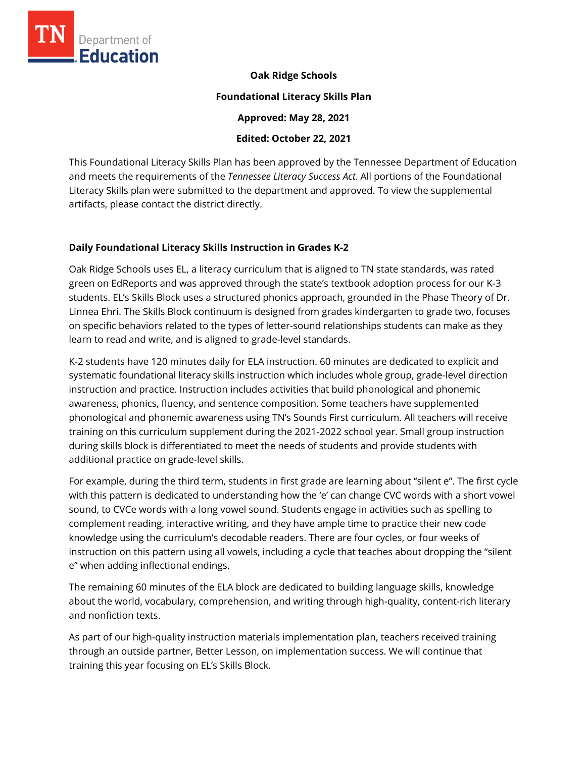

**Oak Ridge Schools** 

#### **Foundational Literacy Skills Plan**

**Approved: May 28, 2021** 

### **Edited: October 22, 2021**

This Foundational Literacy Skills Plan has been approved by the Tennessee Department of Education and meets the requirements of the *Tennessee Literacy Success Act.* All portions of the Foundational Literacy Skills plan were submitted to the department and approved. To view the supplemental artifacts, please contact the district directly.

## **Daily Foundational Literacy Skills Instruction in Grades K-2**

Oak Ridge Schools uses EL, a literacy curriculum that is aligned to TN state standards, was rated green on EdReports and was approved through the state's textbook adoption process for our K-3 students. EL's Skills Block uses a structured phonics approach, grounded in the Phase Theory of Dr. Linnea Ehri. The Skills Block continuum is designed from grades kindergarten to grade two, focuses on specific behaviors related to the types of letter-sound relationships students can make as they learn to read and write, and is aligned to grade-level standards.

K-2 students have 120 minutes daily for ELA instruction. 60 minutes are dedicated to explicit and systematic foundational literacy skills instruction which includes whole group, grade-level direction instruction and practice. Instruction includes activities that build phonological and phonemic awareness, phonics, fluency, and sentence composition. Some teachers have supplemented phonological and phonemic awareness using TN's Sounds First curriculum. All teachers will receive training on this curriculum supplement during the 2021-2022 school year. Small group instruction during skills block is differentiated to meet the needs of students and provide students with additional practice on grade-level skills.

For example, during the third term, students in first grade are learning about "silent e". The first cycle with this pattern is dedicated to understanding how the 'e' can change CVC words with a short vowel sound, to CVCe words with a long vowel sound. Students engage in activities such as spelling to complement reading, interactive writing, and they have ample time to practice their new code knowledge using the curriculum's decodable readers. There are four cycles, or four weeks of instruction on this pattern using all vowels, including a cycle that teaches about dropping the "silent e" when adding inflectional endings.

The remaining 60 minutes of the ELA block are dedicated to building language skills, knowledge about the world, vocabulary, comprehension, and writing through high-quality, content-rich literary and nonfiction texts.

As part of our high-quality instruction materials implementation plan, teachers received training through an outside partner, Better Lesson, on implementation success. We will continue that training this year focusing on EL's Skills Block.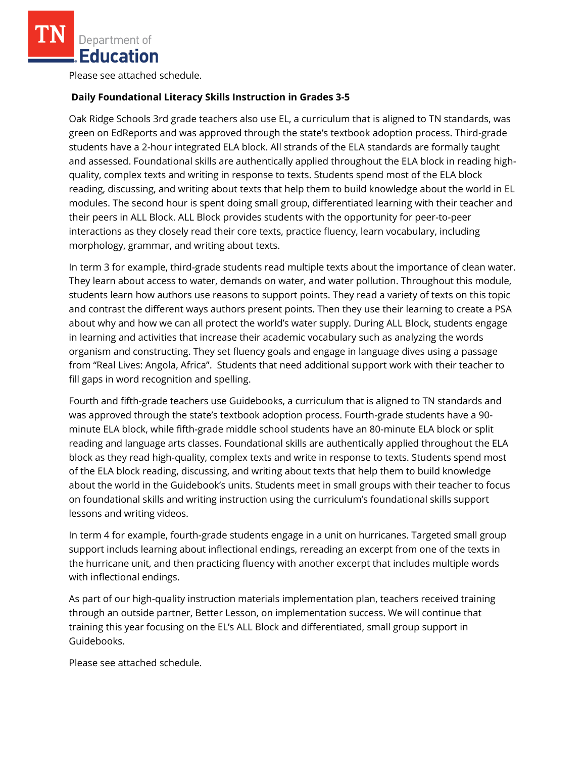Please see attached schedule.

# **Daily Foundational Literacy Skills Instruction in Grades 3-5**

Oak Ridge Schools 3rd grade teachers also use EL, a curriculum that is aligned to TN standards, was green on EdReports and was approved through the state's textbook adoption process. Third-grade students have a 2-hour integrated ELA block. All strands of the ELA standards are formally taught and assessed. Foundational skills are authentically applied throughout the ELA block in reading highquality, complex texts and writing in response to texts. Students spend most of the ELA block reading, discussing, and writing about texts that help them to build knowledge about the world in EL modules. The second hour is spent doing small group, differentiated learning with their teacher and their peers in ALL Block. ALL Block provides students with the opportunity for peer-to-peer interactions as they closely read their core texts, practice fluency, learn vocabulary, including morphology, grammar, and writing about texts.

In term 3 for example, third-grade students read multiple texts about the importance of clean water. They learn about access to water, demands on water, and water pollution. Throughout this module, students learn how authors use reasons to support points. They read a variety of texts on this topic and contrast the different ways authors present points. Then they use their learning to create a PSA about why and how we can all protect the world's water supply. During ALL Block, students engage in learning and activities that increase their academic vocabulary such as analyzing the words organism and constructing. They set fluency goals and engage in language dives using a passage from "Real Lives: Angola, Africa". Students that need additional support work with their teacher to fill gaps in word recognition and spelling.

Fourth and fifth-grade teachers use Guidebooks, a curriculum that is aligned to TN standards and was approved through the state's textbook adoption process. Fourth-grade students have a 90 minute ELA block, while fifth-grade middle school students have an 80-minute ELA block or split reading and language arts classes. Foundational skills are authentically applied throughout the ELA block as they read high-quality, complex texts and write in response to texts. Students spend most of the ELA block reading, discussing, and writing about texts that help them to build knowledge about the world in the Guidebook's units. Students meet in small groups with their teacher to focus on foundational skills and writing instruction using the curriculum's foundational skills support lessons and writing videos.

In term 4 for example, fourth-grade students engage in a unit on hurricanes. Targeted small group support includs learning about inflectional endings, rereading an excerpt from one of the texts in the hurricane unit, and then practicing fluency with another excerpt that includes multiple words with inflectional endings.

As part of our high-quality instruction materials implementation plan, teachers received training through an outside partner, Better Lesson, on implementation success. We will continue that training this year focusing on the EL's ALL Block and differentiated, small group support in Guidebooks.

Please see attached schedule.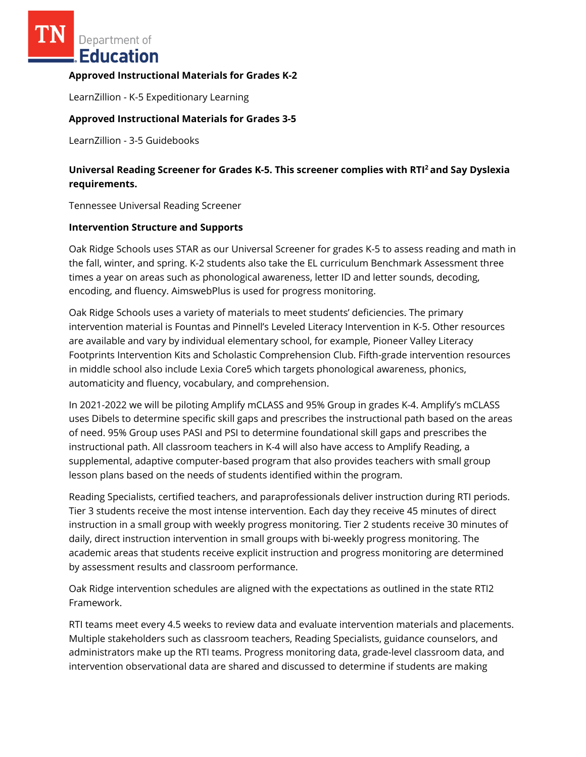#### **Approved Instructional Materials for Grades K-2**

LearnZillion - K-5 Expeditionary Learning

#### **Approved Instructional Materials for Grades 3-5**

LearnZillion - 3-5 Guidebooks

## **Universal Reading Screener for Grades K-5. This screener complies with RTI<sup>2</sup>and Say Dyslexia requirements.**

Tennessee Universal Reading Screener

#### **Intervention Structure and Supports**

Oak Ridge Schools uses STAR as our Universal Screener for grades K-5 to assess reading and math in the fall, winter, and spring. K-2 students also take the EL curriculum Benchmark Assessment three times a year on areas such as phonological awareness, letter ID and letter sounds, decoding, encoding, and fluency. AimswebPlus is used for progress monitoring.

Oak Ridge Schools uses a variety of materials to meet students' deficiencies. The primary intervention material is Fountas and Pinnell's Leveled Literacy Intervention in K-5. Other resources are available and vary by individual elementary school, for example, Pioneer Valley Literacy Footprints Intervention Kits and Scholastic Comprehension Club. Fifth-grade intervention resources in middle school also include Lexia Core5 which targets phonological awareness, phonics, automaticity and fluency, vocabulary, and comprehension.

In 2021-2022 we will be piloting Amplify mCLASS and 95% Group in grades K-4. Amplify's mCLASS uses Dibels to determine specific skill gaps and prescribes the instructional path based on the areas of need. 95% Group uses PASI and PSI to determine foundational skill gaps and prescribes the instructional path. All classroom teachers in K-4 will also have access to Amplify Reading, a supplemental, adaptive computer-based program that also provides teachers with small group lesson plans based on the needs of students identified within the program.

Reading Specialists, certified teachers, and paraprofessionals deliver instruction during RTI periods. Tier 3 students receive the most intense intervention. Each day they receive 45 minutes of direct instruction in a small group with weekly progress monitoring. Tier 2 students receive 30 minutes of daily, direct instruction intervention in small groups with bi-weekly progress monitoring. The academic areas that students receive explicit instruction and progress monitoring are determined by assessment results and classroom performance.

Oak Ridge intervention schedules are aligned with the expectations as outlined in the state RTI2 Framework.

RTI teams meet every 4.5 weeks to review data and evaluate intervention materials and placements. Multiple stakeholders such as classroom teachers, Reading Specialists, guidance counselors, and administrators make up the RTI teams. Progress monitoring data, grade-level classroom data, and intervention observational data are shared and discussed to determine if students are making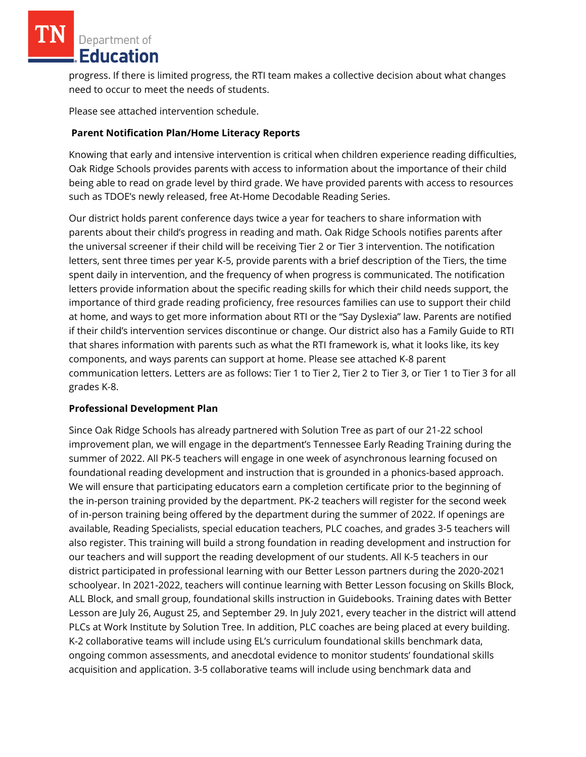progress. If there is limited progress, the RTI team makes a collective decision about what changes need to occur to meet the needs of students.

Please see attached intervention schedule.

### **Parent Notification Plan/Home Literacy Reports**

Knowing that early and intensive intervention is critical when children experience reading difficulties, Oak Ridge Schools provides parents with access to information about the importance of their child being able to read on grade level by third grade. We have provided parents with access to resources such as TDOE's newly released, free At-Home Decodable Reading Series.

Our district holds parent conference days twice a year for teachers to share information with parents about their child's progress in reading and math. Oak Ridge Schools notifies parents after the universal screener if their child will be receiving Tier 2 or Tier 3 intervention. The notification letters, sent three times per year K-5, provide parents with a brief description of the Tiers, the time spent daily in intervention, and the frequency of when progress is communicated. The notification letters provide information about the specific reading skills for which their child needs support, the importance of third grade reading proficiency, free resources families can use to support their child at home, and ways to get more information about RTI or the "Say Dyslexia" law. Parents are notified if their child's intervention services discontinue or change. Our district also has a Family Guide to RTI that shares information with parents such as what the RTI framework is, what it looks like, its key components, and ways parents can support at home. Please see attached K-8 parent communication letters. Letters are as follows: Tier 1 to Tier 2, Tier 2 to Tier 3, or Tier 1 to Tier 3 for all grades K-8.

### **Professional Development Plan**

Since Oak Ridge Schools has already partnered with Solution Tree as part of our 21-22 school improvement plan, we will engage in the department's Tennessee Early Reading Training during the summer of 2022. All PK-5 teachers will engage in one week of asynchronous learning focused on foundational reading development and instruction that is grounded in a phonics-based approach. We will ensure that participating educators earn a completion certificate prior to the beginning of the in-person training provided by the department. PK-2 teachers will register for the second week of in-person training being offered by the department during the summer of 2022. If openings are available, Reading Specialists, special education teachers, PLC coaches, and grades 3-5 teachers will also register. This training will build a strong foundation in reading development and instruction for our teachers and will support the reading development of our students. All K-5 teachers in our district participated in professional learning with our Better Lesson partners during the 2020-2021 schoolyear. In 2021-2022, teachers will continue learning with Better Lesson focusing on Skills Block, ALL Block, and small group, foundational skills instruction in Guidebooks. Training dates with Better Lesson are July 26, August 25, and September 29. In July 2021, every teacher in the district will attend PLCs at Work Institute by Solution Tree. In addition, PLC coaches are being placed at every building. K-2 collaborative teams will include using EL's curriculum foundational skills benchmark data, ongoing common assessments, and anecdotal evidence to monitor students' foundational skills acquisition and application. 3-5 collaborative teams will include using benchmark data and